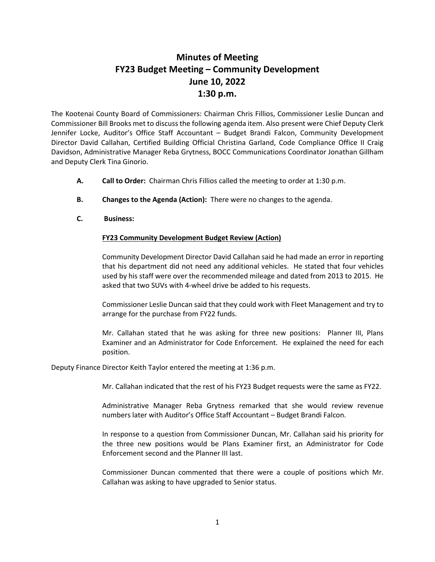## **Minutes of Meeting FY23 Budget Meeting – Community Development June 10, 2022 1:30 p.m.**

The Kootenai County Board of Commissioners: Chairman Chris Fillios, Commissioner Leslie Duncan and Commissioner Bill Brooks met to discuss the following agenda item. Also present were Chief Deputy Clerk Jennifer Locke, Auditor's Office Staff Accountant – Budget Brandi Falcon, Community Development Director David Callahan, Certified Building Official Christina Garland, Code Compliance Office II Craig Davidson, Administrative Manager Reba Grytness, BOCC Communications Coordinator Jonathan Gillham and Deputy Clerk Tina Ginorio.

- **A. Call to Order:** Chairman Chris Fillios called the meeting to order at 1:30 p.m.
- **B. Changes to the Agenda (Action):** There were no changes to the agenda.
- **C. Business:**

## **FY23 Community Development Budget Review (Action)**

Community Development Director David Callahan said he had made an error in reporting that his department did not need any additional vehicles. He stated that four vehicles used by his staff were over the recommended mileage and dated from 2013 to 2015. He asked that two SUVs with 4-wheel drive be added to his requests.

Commissioner Leslie Duncan said that they could work with Fleet Management and try to arrange for the purchase from FY22 funds.

Mr. Callahan stated that he was asking for three new positions: Planner III, Plans Examiner and an Administrator for Code Enforcement. He explained the need for each position.

Deputy Finance Director Keith Taylor entered the meeting at 1:36 p.m.

Mr. Callahan indicated that the rest of his FY23 Budget requests were the same as FY22.

Administrative Manager Reba Grytness remarked that she would review revenue numbers later with Auditor's Office Staff Accountant – Budget Brandi Falcon.

In response to a question from Commissioner Duncan, Mr. Callahan said his priority for the three new positions would be Plans Examiner first, an Administrator for Code Enforcement second and the Planner III last.

Commissioner Duncan commented that there were a couple of positions which Mr. Callahan was asking to have upgraded to Senior status.